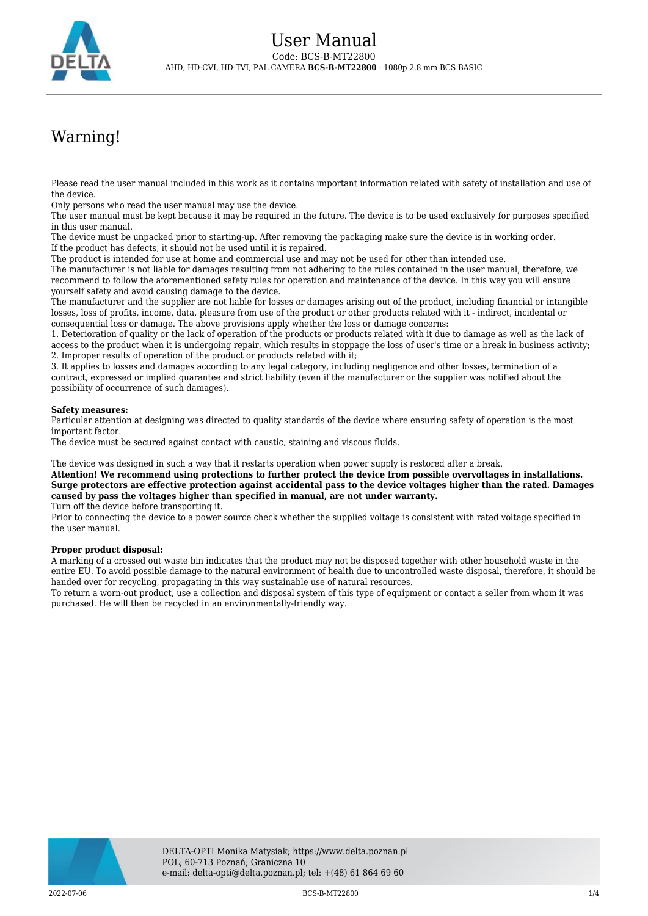

## Warning!

Please read the user manual included in this work as it contains important information related with safety of installation and use of the device.

Only persons who read the user manual may use the device.

The user manual must be kept because it may be required in the future. The device is to be used exclusively for purposes specified in this user manual.

The device must be unpacked prior to starting-up. After removing the packaging make sure the device is in working order. If the product has defects, it should not be used until it is repaired.

The product is intended for use at home and commercial use and may not be used for other than intended use.

The manufacturer is not liable for damages resulting from not adhering to the rules contained in the user manual, therefore, we recommend to follow the aforementioned safety rules for operation and maintenance of the device. In this way you will ensure yourself safety and avoid causing damage to the device.

The manufacturer and the supplier are not liable for losses or damages arising out of the product, including financial or intangible losses, loss of profits, income, data, pleasure from use of the product or other products related with it - indirect, incidental or consequential loss or damage. The above provisions apply whether the loss or damage concerns:

1. Deterioration of quality or the lack of operation of the products or products related with it due to damage as well as the lack of access to the product when it is undergoing repair, which results in stoppage the loss of user's time or a break in business activity; 2. Improper results of operation of the product or products related with it;

3. It applies to losses and damages according to any legal category, including negligence and other losses, termination of a contract, expressed or implied guarantee and strict liability (even if the manufacturer or the supplier was notified about the possibility of occurrence of such damages).

## **Safety measures:**

Particular attention at designing was directed to quality standards of the device where ensuring safety of operation is the most important factor.

The device must be secured against contact with caustic, staining and viscous fluids.

The device was designed in such a way that it restarts operation when power supply is restored after a break.

**Attention! We recommend using protections to further protect the device from possible overvoltages in installations. Surge protectors are effective protection against accidental pass to the device voltages higher than the rated. Damages caused by pass the voltages higher than specified in manual, are not under warranty.**

Turn off the device before transporting it.

Prior to connecting the device to a power source check whether the supplied voltage is consistent with rated voltage specified in the user manual.

## **Proper product disposal:**

A marking of a crossed out waste bin indicates that the product may not be disposed together with other household waste in the entire EU. To avoid possible damage to the natural environment of health due to uncontrolled waste disposal, therefore, it should be handed over for recycling, propagating in this way sustainable use of natural resources.

To return a worn-out product, use a collection and disposal system of this type of equipment or contact a seller from whom it was purchased. He will then be recycled in an environmentally-friendly way.

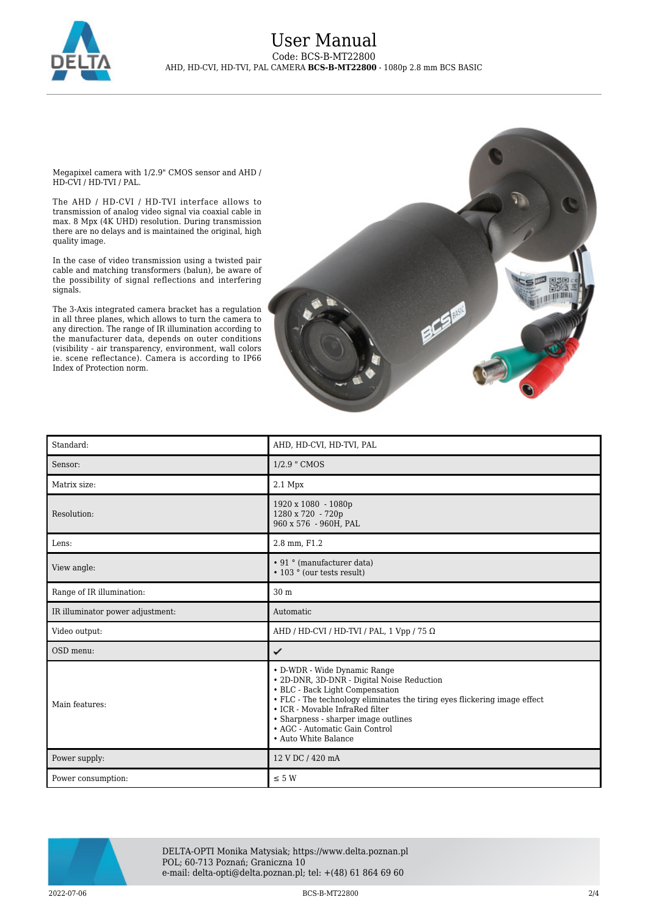

Megapixel camera with 1/2.9" CMOS sensor and AHD / HD-CVI / HD-TVI / PAL.

The AHD / HD-CVI / HD-TVI interface allows to transmission of analog video signal via coaxial cable in max. 8 Mpx (4K UHD) resolution. During transmission there are no delays and is maintained the original, high quality image.

In the case of video transmission using a twisted pair cable and matching transformers (balun), be aware of the possibility of signal reflections and interfering signals.

The 3-Axis integrated camera bracket has a regulation in all three planes, which allows to turn the camera to any direction. The range of IR illumination according to the manufacturer data, depends on outer conditions (visibility - air transparency, environment, wall colors ie. scene reflectance). Camera is according to IP66 Index of Protection norm.



| Standard:                        | AHD, HD-CVI, HD-TVI, PAL                                                                                                                                                                                                                                                                                                        |
|----------------------------------|---------------------------------------------------------------------------------------------------------------------------------------------------------------------------------------------------------------------------------------------------------------------------------------------------------------------------------|
| Sensor:                          | 1/2.9 " CMOS                                                                                                                                                                                                                                                                                                                    |
| Matrix size:                     | $2.1$ Mpx                                                                                                                                                                                                                                                                                                                       |
| Resolution:                      | 1920 x 1080 - 1080p<br>1280 x 720 - 720p<br>960 x 576 - 960H, PAL                                                                                                                                                                                                                                                               |
| Lens:                            | 2.8 mm, F1.2                                                                                                                                                                                                                                                                                                                    |
| View angle:                      | • 91 ° (manufacturer data)<br>• 103 ° (our tests result)                                                                                                                                                                                                                                                                        |
| Range of IR illumination:        | 30 m                                                                                                                                                                                                                                                                                                                            |
| IR illuminator power adjustment: | Automatic                                                                                                                                                                                                                                                                                                                       |
| Video output:                    | AHD / HD-CVI / HD-TVI / PAL, 1 Vpp / 75 $\Omega$                                                                                                                                                                                                                                                                                |
| OSD menu:                        | ✓                                                                                                                                                                                                                                                                                                                               |
| Main features:                   | • D-WDR - Wide Dynamic Range<br>• 2D-DNR, 3D-DNR - Digital Noise Reduction<br>• BLC - Back Light Compensation<br>• FLC - The technology eliminates the tiring eyes flickering image effect<br>• ICR - Movable InfraRed filter<br>• Sharpness - sharper image outlines<br>• AGC - Automatic Gain Control<br>• Auto White Balance |
| Power supply:                    | 12 V DC / 420 mA                                                                                                                                                                                                                                                                                                                |
| Power consumption:               | $\leq$ 5 W                                                                                                                                                                                                                                                                                                                      |



DELTA-OPTI Monika Matysiak; https://www.delta.poznan.pl POL; 60-713 Poznań; Graniczna 10 e-mail: delta-opti@delta.poznan.pl; tel: +(48) 61 864 69 60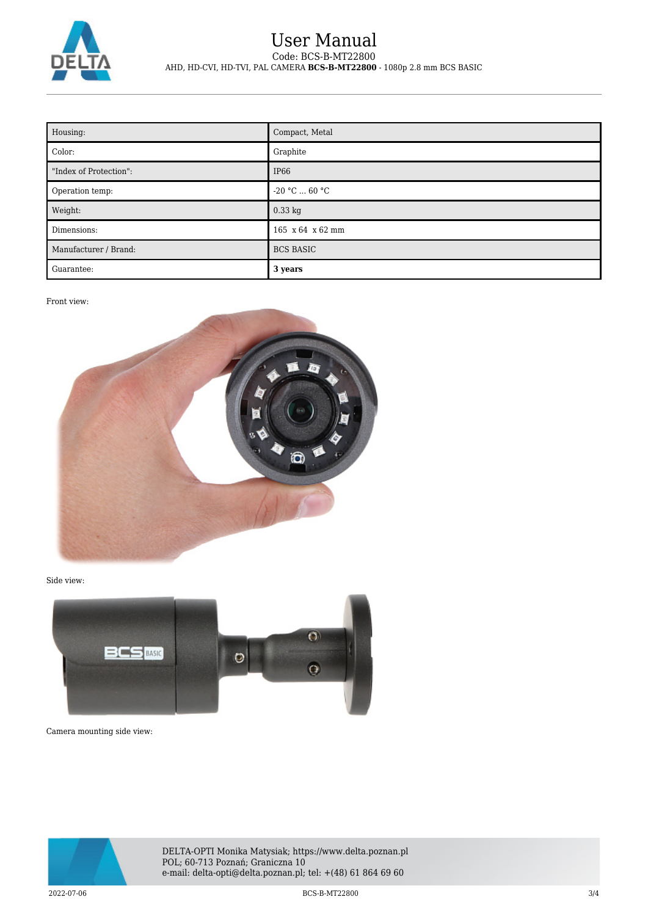

## User Manual Code: BCS-B-MT22800 AHD, HD-CVI, HD-TVI, PAL CAMERA **BCS-B-MT22800** - 1080p 2.8 mm BCS BASIC

| Housing:               | Compact, Metal         |
|------------------------|------------------------|
| Color:                 | Graphite               |
| "Index of Protection": | IP <sub>66</sub>       |
| Operation temp:        | $-20$ °C $\dots$ 60 °C |
| Weight:                | $0.33$ kg              |
| Dimensions:            | 165 x 64 x 62 mm       |
| Manufacturer / Brand:  | <b>BCS BASIC</b>       |
| Guarantee:             | 3 years                |

Front view:



Side view:



Camera mounting side view:



DELTA-OPTI Monika Matysiak; https://www.delta.poznan.pl POL; 60-713 Poznań; Graniczna 10 e-mail: delta-opti@delta.poznan.pl; tel: +(48) 61 864 69 60

2022-07-06 BCS-B-MT22800 3/4